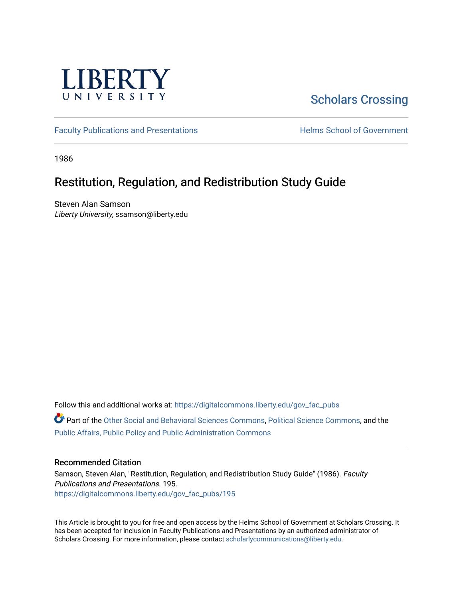

## [Scholars Crossing](https://digitalcommons.liberty.edu/)

[Faculty Publications and Presentations](https://digitalcommons.liberty.edu/gov_fac_pubs) **Exercise School of Government** 

1986

## Restitution, Regulation, and Redistribution Study Guide

Steven Alan Samson Liberty University, ssamson@liberty.edu

Follow this and additional works at: [https://digitalcommons.liberty.edu/gov\\_fac\\_pubs](https://digitalcommons.liberty.edu/gov_fac_pubs?utm_source=digitalcommons.liberty.edu%2Fgov_fac_pubs%2F195&utm_medium=PDF&utm_campaign=PDFCoverPages)

Part of the [Other Social and Behavioral Sciences Commons](http://network.bepress.com/hgg/discipline/437?utm_source=digitalcommons.liberty.edu%2Fgov_fac_pubs%2F195&utm_medium=PDF&utm_campaign=PDFCoverPages), [Political Science Commons](http://network.bepress.com/hgg/discipline/386?utm_source=digitalcommons.liberty.edu%2Fgov_fac_pubs%2F195&utm_medium=PDF&utm_campaign=PDFCoverPages), and the [Public Affairs, Public Policy and Public Administration Commons](http://network.bepress.com/hgg/discipline/393?utm_source=digitalcommons.liberty.edu%2Fgov_fac_pubs%2F195&utm_medium=PDF&utm_campaign=PDFCoverPages)

## Recommended Citation

Samson, Steven Alan, "Restitution, Regulation, and Redistribution Study Guide" (1986). Faculty Publications and Presentations. 195. [https://digitalcommons.liberty.edu/gov\\_fac\\_pubs/195](https://digitalcommons.liberty.edu/gov_fac_pubs/195?utm_source=digitalcommons.liberty.edu%2Fgov_fac_pubs%2F195&utm_medium=PDF&utm_campaign=PDFCoverPages)

This Article is brought to you for free and open access by the Helms School of Government at Scholars Crossing. It has been accepted for inclusion in Faculty Publications and Presentations by an authorized administrator of Scholars Crossing. For more information, please contact [scholarlycommunications@liberty.edu.](mailto:scholarlycommunications@liberty.edu)